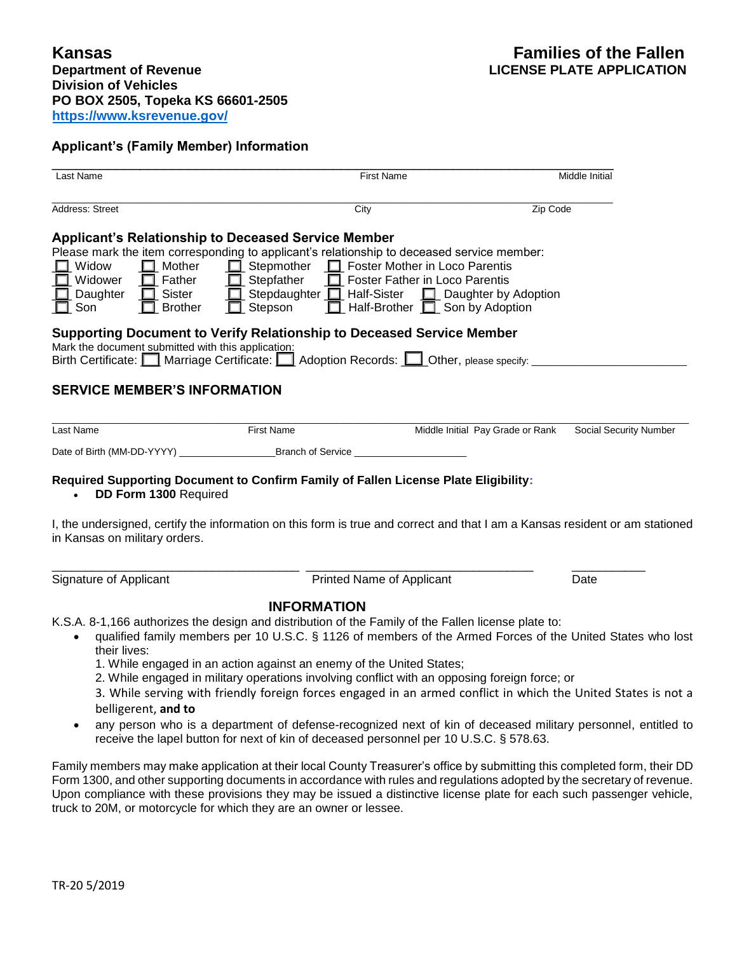## **Applicant's (Family Member) Information**

| Last Name                                                                                                                            |                                                                                                                                                                                                                                                                                                                                                                                                                                                                                                                                    | <b>First Name</b>                                                            |                                  | Middle Initial         |
|--------------------------------------------------------------------------------------------------------------------------------------|------------------------------------------------------------------------------------------------------------------------------------------------------------------------------------------------------------------------------------------------------------------------------------------------------------------------------------------------------------------------------------------------------------------------------------------------------------------------------------------------------------------------------------|------------------------------------------------------------------------------|----------------------------------|------------------------|
| Address: Street                                                                                                                      | City                                                                                                                                                                                                                                                                                                                                                                                                                                                                                                                               |                                                                              | Zip Code                         |                        |
| $\Box$ Mother<br>$\Box$ Widow<br>$\Box$ Father<br>$\Box$ Widower<br>$\Box$ Daughter<br>$\Box$ Sister<br>$\Box$ Son<br>$\Box$ Brother | <b>Applicant's Relationship to Deceased Service Member</b><br>Please mark the item corresponding to applicant's relationship to deceased service member:<br>Stepmother <b>I</b> Foster Mother in Loco Parentis<br>$\Box$ Stepfather<br>□ Stepdaughter □ Half-Sister □ Daughter by Adoption<br>$\Box$ Stepson                                                                                                                                                                                                                       | Foster Father in Loco Parentis<br>$\Box$ Half-Brother $\Box$ Son by Adoption |                                  |                        |
| Mark the document submitted with this application:                                                                                   | Supporting Document to Verify Relationship to Deceased Service Member<br>Birth Certificate: Marriage Certificate: Adoption Records: Other, please specify:                                                                                                                                                                                                                                                                                                                                                                         |                                                                              |                                  |                        |
| <b>SERVICE MEMBER'S INFORMATION</b>                                                                                                  |                                                                                                                                                                                                                                                                                                                                                                                                                                                                                                                                    |                                                                              |                                  |                        |
| Last Name                                                                                                                            | First Name                                                                                                                                                                                                                                                                                                                                                                                                                                                                                                                         |                                                                              | Middle Initial Pay Grade or Rank | Social Security Number |
|                                                                                                                                      |                                                                                                                                                                                                                                                                                                                                                                                                                                                                                                                                    |                                                                              |                                  |                        |
| DD Form 1300 Required<br>$\bullet$<br>in Kansas on military orders.                                                                  | Required Supporting Document to Confirm Family of Fallen License Plate Eligibility:<br>I, the undersigned, certify the information on this form is true and correct and that I am a Kansas resident or am stationed                                                                                                                                                                                                                                                                                                                |                                                                              |                                  |                        |
| Signature of Applicant                                                                                                               |                                                                                                                                                                                                                                                                                                                                                                                                                                                                                                                                    | Printed Name of Applicant                                                    |                                  | Date                   |
| $\bullet$<br>their lives:<br>belligerent, and to                                                                                     | <b>INFORMATION</b><br>K.S.A. 8-1,166 authorizes the design and distribution of the Family of the Fallen license plate to:<br>qualified family members per 10 U.S.C. § 1126 of members of the Armed Forces of the United States who lost<br>1. While engaged in an action against an enemy of the United States;<br>2. While engaged in military operations involving conflict with an opposing foreign force; or<br>3. While serving with friendly foreign forces engaged in an armed conflict in which the United States is not a |                                                                              |                                  |                        |
|                                                                                                                                      | any person who is a department of defense-recognized next of kin of deceased military personnel, entitled to<br>receive the lapel button for next of kin of deceased personnel per 10 U.S.C. § 578.63.                                                                                                                                                                                                                                                                                                                             |                                                                              |                                  |                        |
|                                                                                                                                      | Family members may make application at their local County Treasurer's office by submitting this completed form, their DD<br>Form 1200, and other supporting decuments in accordance with rules and requistions adopted by the secretary of revenue                                                                                                                                                                                                                                                                                 |                                                                              |                                  |                        |

Form 1300, and other supporting documents in accordance with rules and regulations adopted by the secretary of revenue. Upon compliance with these provisions they may be issued a distinctive license plate for each such passenger vehicle, truck to 20M, or motorcycle for which they are an owner or lessee.